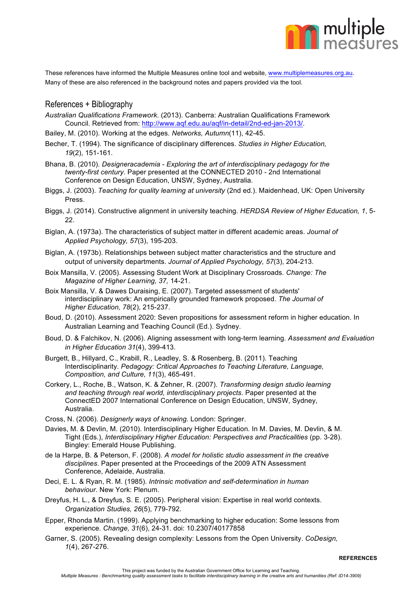

These references have informed the Multiple Measures online tool and website, www.multiplemeasures.org.au. Many of these are also referenced in the background notes and papers provided via the tool.

## References + Bibliography

*Australian Qualifications Framework*. (2013). Canberra: Australian Qualifications Framework Council. Retrieved from: http://www.aqf.edu.au/aqf/in-detail/2nd-ed-jan-2013/.

Bailey, M. (2010). Working at the edges. *Networks, Autumn*(11), 42-45.

- Becher, T. (1994). The significance of disciplinary differences. *Studies in Higher Education, 19*(2), 151-161.
- Bhana, B. (2010). *Designeracademia - Exploring the art of interdisciplinary pedagogy for the twenty-first century*. Paper presented at the CONNECTED 2010 - 2nd International Conference on Design Education, UNSW, Sydney, Australia.
- Biggs, J. (2003). *Teaching for quality learning at university* (2nd ed.). Maidenhead, UK: Open University Press.
- Biggs, J. (2014). Constructive alignment in university teaching. *HERDSA Review of Higher Education, 1*, 5-  $22.$
- Biglan, A. (1973a). The characteristics of subject matter in different academic areas. *Journal of Applied Psychology, 57*(3), 195-203.
- Biglan, A. (1973b). Relationships between subject matter characteristics and the structure and output of university departments. *Journal of Applied Psychology, 57*(3), 204-213.
- Boix Mansilla, V. (2005). Assessing Student Work at Disciplinary Crossroads. *Change: The Magazine of Higher Learning, 37,* 14-21.
- Boix Mansilla, V. & Dawes Duraising, E. (2007). Targeted assessment of students' interdisciplinary work: An empirically grounded framework proposed. *The Journal of Higher Education, 78*(2), 215-237.
- Boud, D. (2010). Assessment 2020: Seven propositions for assessment reform in higher education. In Australian Learning and Teaching Council (Ed.). Sydney.
- Boud, D. & Falchikov, N. (2006). Aligning assessment with long-term learning. *Assessment and Evaluation in Higher Education 31*(4), 399-413.
- Burgett, B., Hillyard, C., Krabill, R., Leadley, S. & Rosenberg, B. (2011). Teaching Interdisciplinarity. *Pedagogy: Critical Approaches to Teaching Literature, Language, Composition, and Culture, 11*(3), 465-491.
- Corkery, L., Roche, B., Watson, K. & Zehner, R. (2007). *Transforming design studio learning and teaching through real world, interdisciplinary projects*. Paper presented at the ConnectED 2007 International Conference on Design Education, UNSW, Sydney, Australia.
- Cross, N. (2006). *Designerly ways of knowing*. London: Springer.
- Davies, M. & Devlin, M. (2010). Interdisciplinary Higher Education. In M. Davies, M. Devlin, & M. Tight (Eds.), *Interdisciplinary Higher Education: Perspectives and Practicalities* (pp. 3-28). Bingley: Emerald House Publishing.
- de la Harpe, B. & Peterson, F. (2008). *A model for holistic studio assessment in the creative disciplines*. Paper presented at the Proceedings of the 2009 ATN Assessment Conference, Adelaide, Australia.
- Deci, E. L. & Ryan, R. M. (1985). *Intrinsic motivation and self-determination in human behaviour*. New York: Plenum.
- Dreyfus, H. L., & Dreyfus, S. E. (2005). Peripheral vision: Expertise in real world contexts. *Organization Studies, 26*(5), 779-792.
- Epper, Rhonda Martin. (1999). Applying benchmarking to higher education: Some lessons from experience. *Change, 31*(6), 24-31. doi: 10.2307/40177858
- Garner, S. (2005). Revealing design complexity: Lessons from the Open University. *CoDesign, 1*(4), 267-276.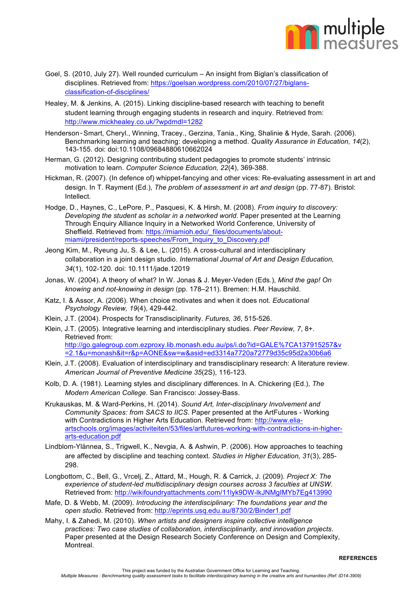

- Goel, S. (2010, July 27). Well rounded curriculum An insight from Biglan's classification of disciplines. Retrieved from: https://goelsan.wordpress.com/2010/07/27/biglansclassification-of-disciplines/
- Healey, M. & Jenkins, A. (2015). Linking discipline-based research with teaching to benefit student learning through engaging students in research and inquiry. Retrieved from: http://www.mickhealey.co.uk/?wpdmdl=1282
- Henderson‐Smart, Cheryl., Winning, Tracey., Gerzina, Tania., King, Shalinie & Hyde, Sarah. (2006). Benchmarking learning and teaching: developing a method. *Quality Assurance in Education, 14*(2), 143-155. doi: doi:10.1108/09684880610662024
- Herman, G. (2012). Designing contributing student pedagogies to promote students' intrinsic motivation to learn. *Computer Science Education, 22*(4), 369-388.
- Hickman, R. (2007). (In defence of) whippet-fancying and other vices: Re-evaluating assessment in art and design. In T. Rayment (Ed.), *The problem of assessment in art and design* (pp. 77-87). Bristol: Intellect.
- Hodge, D., Haynes, C., LePore, P., Pasquesi, K. & Hirsh, M. (2008). *From inquiry to discovery: Developing the student as scholar in a networked world*. Paper presented at the Learning Through Enquiry Alliance Inquiry in a Networked World Conference, University of Sheffield. Retrieved from: https://miamioh.edu/\_files/documents/aboutmiami/president/reports-speeches/From\_Inquiry\_to\_Discovery.pdf
- Jeong Kim, M., Ryeung Ju, S. & Lee, L. (2015). A cross-cultural and interdisciplinary collaboration in a joint design studio. *International Journal of Art and Design Education, 34*(1), 102-120. doi: 10.1111/jade.12019
- Jonas, W. (2004). A theory of what? In W. Jonas & J. Meyer-Veden (Eds.), *Mind the gap! On knowing and not-knowing in design* (pp. 178–211). Bremen: H.M. Hauschild.
- Katz, I. & Assor, A. (2006). When choice motivates and when it does not. *Educational Psychology Review, 19*(4), 429-442.
- Klein, J.T. (2004). Prospects for Transdisciplinarity. *Futures, 36*, 515-526.
- Klein, J.T. (2005). Integrative learning and interdisciplinary studies. *Peer Review, 7*, 8+. Retrieved from: http://go.galegroup.com.ezproxy.lib.monash.edu.au/ps/i.do?id=GALE%7CA137915257&v =2.1&u=monash&it=r&p=AONE&sw=w&asid=ed3314a7720a72779d35c95d2a30b6a6
- Klein, J.T. (2008). Evaluation of interdisciplinary and transdisciplinary research: A literature review. *American Journal of Preventive Medicine 35*(2S), 116-123.
- Kolb, D. A. (1981). Learning styles and disciplinary differences. In A. Chickering (Ed.), *The Modern American College*. San Francisco: Jossey-Bass.
- Krukauskas, M. & Ward-Perkins, H. (2014). *Sound Art, Inter-disciplinary Involvement and Community Spaces: from SACS to IICS*. Paper presented at the ArtFutures - Working with Contradictions in Higher Arts Education. Retrieved from: http://www.eliaartschools.org/images/activiteiten/53/files/artfutures-working-with-contradictions-in-higherarts-education.pdf
- Lindblom-Ylännea, S., Trigwell, K., Nevgia, A. & Ashwin, P. (2006). How approaches to teaching are affected by discipline and teaching context. *Studies in Higher Education, 31*(3), 285- 298.
- Longbottom, C., Bell, G., Vrcelj, Z., Attard, M., Hough, R. & Carrick, J. (2009). *Project X: The experience of student-led multidisciplinary design courses across 3 faculties at UNSW*. Retrieved from: http://wikifoundryattachments.com/11lyk9DW-lkJNMgIMYb7Eg413990
- Mafe, D. & Webb, M. (2009). *Introducing the interdisciplinary: The foundations year and the open studio*. Retrieved from: http://eprints.usq.edu.au/8730/2/Binder1.pdf
- Mahy, I. & Zahedi, M. (2010). *When artists and designers inspire collective intelligence practices: Two case studies of collaboration, interdisciplinarity, and innovation projects*. Paper presented at the Design Research Society Conference on Design and Complexity, Montreal.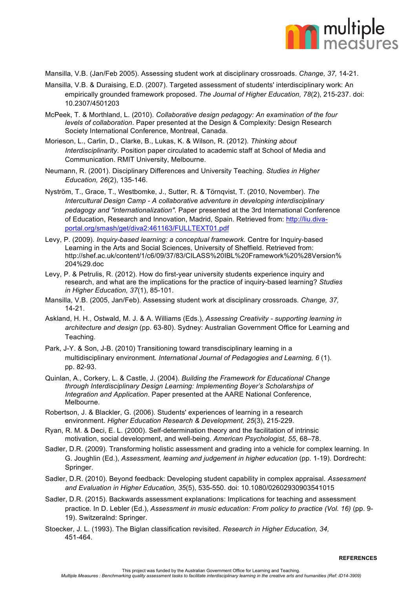

Mansilla, V.B. (Jan/Feb 2005). Assessing student work at disciplinary crossroads. *Change, 37,* 14-21.

- Mansilla, V.B. & Duraising, E.D. (2007). Targeted assessment of students' interdisciplinary work: An empirically grounded framework proposed. *The Journal of Higher Education, 78*(2), 215-237. doi: 10.2307/4501203
- McPeek, T. & Morthland, L. (2010). *Collaborative design pedagogy: An examination of the four levels of collaboration*. Paper presented at the Design & Complexity: Design Research Society International Conference, Montreal, Canada.
- Morieson, L., Carlin, D., Clarke, B., Lukas, K. & Wilson, R. (2012). *Thinking about Interdisciplinarity*. Position paper circulated to academic staff at School of Media and Communication. RMIT University, Melbourne.
- Neumann, R. (2001). Disciplinary Differences and University Teaching. *Studies in Higher Education, 26*(2), 135-146.
- Nyström, T., Grace, T., Westbomke, J., Sutter, R. & Törnqvist, T. (2010, November). *The Intercultural Design Camp - A collaborative adventure in developing interdisciplinary pedagogy and "internationalization"*. Paper presented at the 3rd International Conference of Education, Research and Innovation, Madrid, Spain. Retrieved from: http://liu.divaportal.org/smash/get/diva2:461163/FULLTEXT01.pdf
- Levy, P. (2009). *Inquiry-based learning: a conceptual framework.* Centre for Inquiry-based Learning in the Arts and Social Sciences, University of Sheffield. Retrieved from: http://shef.ac.uk/content/1/c6/09/37/83/CILASS%20IBL%20Framework%20%28Version% 204%29.doc
- Levy, P. & Petrulis, R. (2012). How do first-year university students experience inquiry and research, and what are the implications for the practice of inquiry-based learning? *Studies in Higher Education, 37*(1), 85-101.
- Mansilla, V.B. (2005, Jan/Feb). Assessing student work at disciplinary crossroads. *Change, 37,* 14-21.
- Askland, H. H., Ostwald, M. J. & A. Williams (Eds.), *Assessing Creativity - supporting learning in architecture and design* (pp. 63-80). Sydney: Australian Government Office for Learning and Teaching.
- Park, J-Y. & Son, J-B. (2010) Transitioning toward transdisciplinary learning in a multidisciplinary environment*. International Journal of Pedagogies and Learning, 6* (1). pp. 82-93.
- Quinlan, A., Corkery, L. & Castle, J. (2004). *Building the Framework for Educational Change through Interdisciplinary Design Learning: Implementing Boyer's Scholarships of Integration and Application*. Paper presented at the AARE National Conference, Melbourne.
- Robertson, J. & Blackler, G. (2006). Students' experiences of learning in a research environment. *Higher Education Research & Development, 25*(3), 215-229.
- Ryan, R. M. & Deci, E. L. (2000). Self-determination theory and the facilitation of intrinsic motivation, social development, and well-being. *American Psychologist*, *55*, 68–78.
- Sadler, D.R. (2009). Transforming holistic assessment and grading into a vehicle for complex learning. In G. Joughlin (Ed.), *Assessment, learning and judgement in higher education* (pp. 1-19). Dordrecht: Springer.
- Sadler, D.R. (2010). Beyond feedback: Developing student capability in complex appraisal. *Assessment and Evaluation in Higher Education, 35*(5), 535-550. doi: 10.1080/02602930903541015
- Sadler, D.R. (2015). Backwards assessment explanations: Implications for teaching and assessment practice. In D. Lebler (Ed.), *Assessment in music education: From policy to practice (Vol. 16)* (pp. 9- 19). Switzeralnd: Springer.
- Stoecker, J. L. (1993). The Biglan classification revisited. *Research in Higher Education, 34,*  451-464.